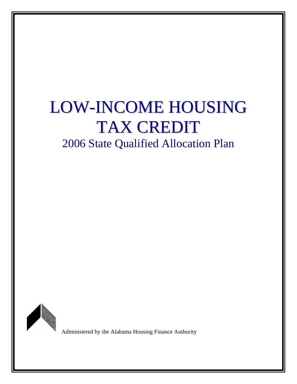# LOW-INCOME HOUSING TAX CREDIT

2006 State Qualified Allocation Plan



Administered by the Alabama Housing Finance Authority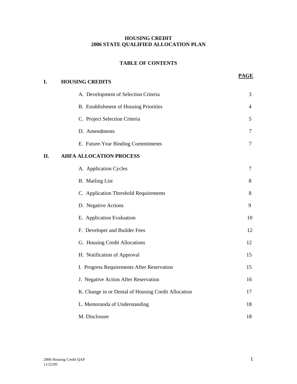# **HOUSING CREDIT 2006 STATE QUALIFIED ALLOCATION PLAN**

# **TABLE OF CONTENTS**

**PAGE**

| I.  | <b>HOUSING CREDITS</b>                              | ----   |
|-----|-----------------------------------------------------|--------|
|     | A. Development of Selection Criteria                | 3      |
|     | B. Establishment of Housing Priorities              | 4      |
|     | C. Project Selection Criteria                       | 5      |
|     | D. Amendments                                       | 7      |
|     | E. Future-Year Binding Commitments                  | $\tau$ |
| II. | <b>AHFA ALLOCATION PROCESS</b>                      |        |
|     | A. Application Cycles                               | 7      |
|     | <b>B.</b> Mailing List                              | 8      |
|     | C. Application Threshold Requirements               | 8      |
|     | D. Negative Actions                                 | 9      |
|     | E. Application Evaluation                           | 10     |
|     | F. Developer and Builder Fees                       | 12     |
|     | G. Housing Credit Allocations                       | 12     |
|     | H. Notification of Approval                         | 15     |
|     | I. Progress Requirements After Reservation          | 15     |
|     | J. Negative Action After Reservation                | 16     |
|     | K. Change in or Denial of Housing Credit Allocation | 17     |
|     | L. Memoranda of Understanding                       | 18     |
|     | M. Disclosure                                       | 18     |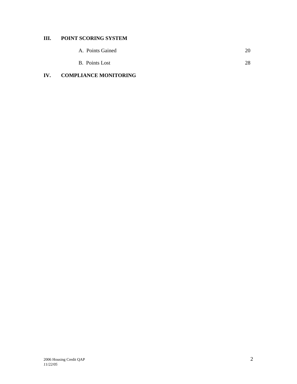# **III. POINT SCORING SYSTEM**

| <b>B.</b> Points Lost | 28 |
|-----------------------|----|
|-----------------------|----|

# **IV. COMPLIANCE MONITORING**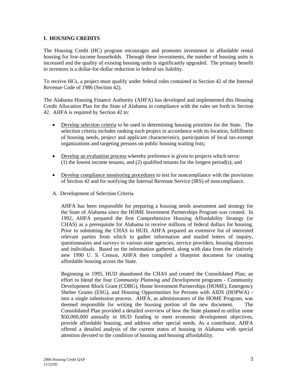#### **I. HOUSING CREDITS**

The Housing Credit (HC) program encourages and promotes investment in affordable rental housing for low-income households. Through these investments, the number of housing units is increased and the quality of existing housing units is significantly upgraded. The primary benefit to investors is a dollar-for-dollar reduction in federal tax liability.

To receive HCs, a project must qualify under federal rules contained in Section 42 of the Internal Revenue Code of 1986 (Section 42).

The Alabama Housing Finance Authority (AHFA) has developed and implemented this Housing Credit Allocation Plan for the State of Alabama in compliance with the rules set forth in Section 42. AHFA is required by Section 42 to:

- Develop selection criteria to be used in determining housing priorities for the State. The selection criteria includes ranking each project in accordance with its location, fulfillment of housing needs, project and applicant characteristics, participation of local tax-exempt organizations and targeting persons on public housing waiting lists;
- Develop an evaluation process whereby preference is given to projects which serve: (1) the lowest income tenants, and (2) qualified tenants for the longest period(s); and
- Develop compliance monitoring procedures to test for noncompliance with the provisions of Section 42 and for notifying the Internal Revenue Service (IRS) of noncompliance.
- A. Development of Selection Criteria

AHFA has been responsible for preparing a housing needs assessment and strategy for the State of Alabama since the HOME Investment Partnerships Program was created. In 1992, AHFA prepared the first Comprehensive Housing Affordability Strategy (or CHAS) as a prerequisite for Alabama to receive millions of federal dollars for housing. Prior to submitting the CHAS to HUD, AHFA prepared an extensive list of interested relevant parties from which to gather information and mailed letters of inquiry, questionnaires and surveys to various state agencies, service providers, housing directors and individuals. Based on the information gathered, along with data from the relatively new 1990 U. S. Census, AHFA then compiled a blueprint document for creating affordable housing across the State.

Beginning in 1995, HUD abandoned the CHAS and created the Consolidated Plan; an effort to blend the four *Community Planning and Development* programs - Community Development Block Grant (CDBG), Home Investment Partnerships (HOME), Emergency Shelter Grants (ESG), and Housing Opportunities for Persons with AIDS (HOPWA) into a single submission process. AHFA, as administrators of the HOME Program, was deemed responsible for writing the housing portion of the new document. The Consolidated Plan provided a detailed overview of how the State planned to utilize some \$50,000,000 annually in HUD funding to meet economic development objectives, provide affordable housing, and address other special needs. As a contributor, AHFA offered a detailed analysis of the current status of housing in Alabama with special attention devoted to the condition of housing and housing affordability.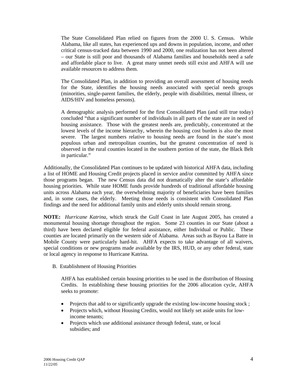The State Consolidated Plan relied on figures from the 2000 U. S. Census. While Alabama, like all states, has experienced ups and downs in population, income, and other critical census-tracked data between 1990 and 2000, one realization has not been altered – our State is still poor and thousands of Alabama families and households need a safe and affordable place to live. A great many unmet needs still exist and AHFA will use available resources to address them.

The Consolidated Plan, in addition to providing an overall assessment of housing needs for the State, identifies the housing needs associated with special needs groups (minorities, single-parent families, the elderly, people with disabilities, mental illness, or AIDS/HIV and homeless persons).

A demographic analysis performed for the first Consolidated Plan (and still true today) concluded "that a significant number of individuals in all parts of the state are in need of housing assistance. Those with the greatest needs are, predictably, concentrated at the lowest levels of the income hierarchy, wherein the housing cost burden is also the most severe. The largest numbers relative to housing needs are found in the state's most populous urban and metropolitan counties, but the greatest concentration of need is observed in the rural counties located in the southern portion of the state, the Black Belt in particular."

Additionally, the Consolidated Plan continues to be updated with historical AHFA data, including a list of HOME and Housing Credit projects placed in service and/or committed by AHFA since those programs began. The new Census data did not dramatically alter the state's affordable housing priorities. While state HOME funds provide hundreds of traditional affordable housing units across Alabama each year, the overwhelming majority of beneficiaries have been families and, in some cases, the elderly. Meeting those needs is consistent with Consolidated Plan findings and the need for additional family units and elderly units should remain strong.

**NOTE:** *Hurricane Katrina*, which struck the Gulf Coast in late August 2005, has created a monumental housing shortage throughout the region. Some 23 counties in our State (about a third) have been declared eligible for federal assistance, either Individual or Public. These counties are located primarily on the western side of Alabama. Areas such as Bayou La Batre in Mobile County were particularly hard-hit. AHFA expects to take advantage of all waivers, special conditions or new programs made available by the IRS, HUD, or any other federal, state or local agency in response to Hurricane Katrina.

B. Establishment of Housing Priorities

AHFA has established certain housing priorities to be used in the distribution of Housing Credits. In establishing these housing priorities for the 2006 allocation cycle, AHFA seeks to promote:

- Projects that add to or significantly upgrade the existing low-income housing stock;
- Projects which, without Housing Credits, would not likely set aside units for lowincome tenants;
- Projects which use additional assistance through federal, state, or local subsidies; and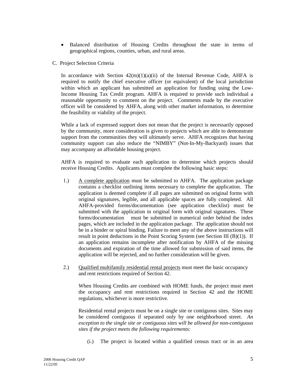- Balanced distribution of Housing Credits throughout the state in terms of geographical regions, counties, urban, and rural areas.
- C. Project Selection Criteria

In accordance with Section  $42(m)(1)(a)(ii)$  of the Internal Revenue Code, AHFA is required to notify the chief executive officer (or equivalent) of the local jurisdiction within which an applicant has submitted an application for funding using the Low-Income Housing Tax Credit program. AHFA is required to provide such individual a reasonable opportunity to comment on the project. Comments made by the executive officer will be considered by AHFA, along with other market information, to determine the feasibility or viability of the project.

 While a lack of expressed support does not mean that the project is necessarily opposed by the community, more consideration is given to projects which are able to demonstrate support from the communities they will ultimately serve. AHFA recognizes that having community support can also reduce the "NIMBY" (Not-In-My-Backyard) issues that may accompany an affordable housing project.

AHFA is required to evaluate each application to determine which projects should receive Housing Credits. Applicants must complete the following basic steps:

- 1.) A complete application must be submitted to AHFA. The application package contains a checklist outlining items necessary to complete the application. The application is deemed complete if all pages are submitted on original forms with original signatures, legible, and all applicable spaces are fully completed. All AHFA-provided forms/documentation (see application checklist) must be submitted with the application in original form with original signatures. These forms/documentation must be submitted in numerical order behind the index pages, which are included in the application package. The application should not be in a binder or spiral binding. Failure to meet any of the above instructions will result in point deductions in the Point Scoring System (see Section III (B)(1)). If an application remains incomplete after notification by AHFA of the missing documents and expiration of the time allowed for submission of said items, the application will be rejected, and no further consideration will be given.
- 2.) Qualified multifamily residential rental projects must meet the basic occupancy and rent restrictions required of Section 42.

When Housing Credits are combined with HOME funds, the project must meet the occupancy and rent restrictions required in Section 42 and the HOME regulations, whichever is more restrictive.

Residential rental projects must be on a single site or contiguous sites. Sites may be considered contiguous if separated only by one neighborhood street. *An exception to the single site or contiguous sites will be allowed for non-contiguous sites if the project meets the following requirements:*

(i.) The project is located within a qualified census tract or in an area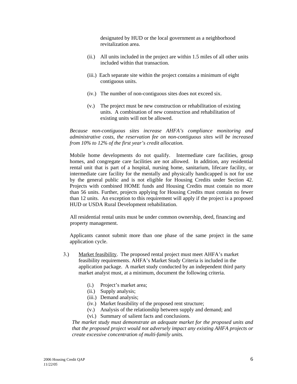designated by HUD or the local government as a neighborhood revitalization area.

- (ii.) All units included in the project are within 1.5 miles of all other units included within that transaction.
- (iii.) Each separate site within the project contains a minimum of eight contiguous units.
- (iv.) The number of non-contiguous sites does not exceed six.
- (v.) The project must be new construction or rehabilitation of existing units. A combination of new construction and rehabilitation of existing units will not be allowed.

*Because non-contiguous sites increase AHFA's compliance monitoring and administrative costs, the reservation fee on non-contiguous sites will be increased from 10% to 12% of the first year's credit allocation.* 

Mobile home developments do not qualify. Intermediate care facilities, group homes, and congregate care facilities are not allowed. In addition, any residential rental unit that is part of a hospital, nursing home, sanitarium, lifecare facility, or intermediate care facility for the mentally and physically handicapped is not for use by the general public and is not eligible for Housing Credits under Section 42. Projects with combined HOME funds and Housing Credits must contain no more than 56 units. Further, projects applying for Housing Credits must contain no fewer than 12 units. An exception to this requirement will apply if the project is a proposed HUD or USDA Rural Development rehabilitation.

 All residential rental units must be under common ownership, deed, financing and property management.

Applicants cannot submit more than one phase of the same project in the same application cycle.

- 3.) Market feasibility. The proposed rental project must meet AHFA's market feasibility requirements. AHFA's Market Study Criteria is included in the application package. A market study conducted by an independent third party market analyst must, at a minimum, document the following criteria.
	- (i.) Project's market area;
	- (ii.) Supply analysis;
	- (iii.) Demand analysis;
	- (iv.) Market feasibility of the proposed rent structure;
	- (v.) Analysis of the relationship between supply and demand; and
	- (vi.) Summary of salient facts and conclusions.

*The market study must demonstrate an adequate market for the proposed units and that the proposed project would not adversely impact any existing AHFA projects or create excessive concentration of multi-family units.*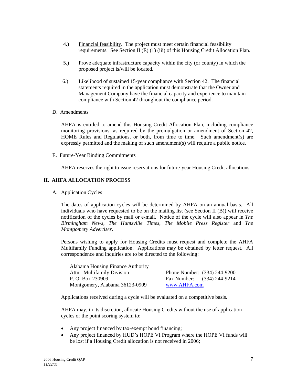- 4.) Financial feasibility. The project must meet certain financial feasibility requirements. See Section II (E) (1) (iii) of this Housing Credit Allocation Plan.
- 5.) Prove adequate infrastructure capacity within the city (or county) in which the proposed project is/will be located.
- 6.) Likelihood of sustained 15-year compliance with Section 42. The financial statements required in the application must demonstrate that the Owner and Management Company have the financial capacity and experience to maintain compliance with Section 42 throughout the compliance period.
- D. Amendments

AHFA is entitled to amend this Housing Credit Allocation Plan, including compliance monitoring provisions, as required by the promulgation or amendment of Section 42, HOME Rules and Regulations, or both, from time to time. Such amendment(s) are expressly permitted and the making of such amendment(s) will require a public notice.

E. Future-Year Binding Commitments

AHFA reserves the right to issue reservations for future-year Housing Credit allocations.

## **II. AHFA ALLOCATION PROCESS**

A. Application Cycles

The dates of application cycles will be determined by AHFA on an annual basis. All individuals who have requested to be on the mailing list (see Section II  $(B)$ ) will receive notification of the cycles by mail or e-mail. Notice of the cycle will also appear in *The Birmingham News*, *The Huntsville Times*, *The Mobile Press Register* and *The Montgomery Advertiser*.

Persons wishing to apply for Housing Credits must request and complete the AHFA Multifamily Funding application. Applications may be obtained by letter request. All correspondence and inquiries are to be directed to the following:

| Alabama Housing Finance Authority |              |                              |
|-----------------------------------|--------------|------------------------------|
| Attn: Multifamily Division        |              | Phone Number: (334) 244-9200 |
| P. O. Box 230909                  |              | Fax Number: (334) 244-9214   |
| Montgomery, Alabama 36123-0909    | www.AHFA.com |                              |

Applications received during a cycle will be evaluated on a competitive basis.

 AHFA may, in its discretion, allocate Housing Credits without the use of application cycles or the point scoring system to:

- Any project financed by tax-exempt bond financing;
- Any project financed by HUD's HOPE VI Program where the HOPE VI funds will be lost if a Housing Credit allocation is not received in 2006;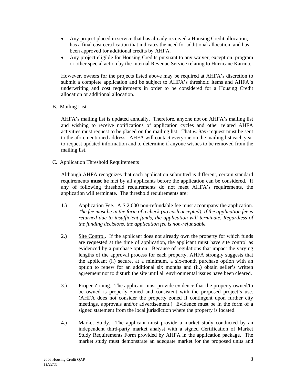- Any project placed in service that has already received a Housing Credit allocation, has a final cost certification that indicates the need for additional allocation, and has been approved for additional credits by AHFA.
- Any project eligible for Housing Credits pursuant to any waiver, exception, program or other special action by the Internal Revenue Service relating to Hurricane Katrina.

However, owners for the projects listed above may be required at AHFA's discretion to submit a complete application and be subject to AHFA's threshold items and AHFA's underwriting and cost requirements in order to be considered for a Housing Credit allocation or additional allocation.

B. Mailing List

AHFA's mailing list is updated annually. Therefore, anyone not on AHFA's mailing list and wishing to receive notifications of application cycles and other related AHFA activities must request to be placed on the mailing list. That *written* request must be sent to the aforementioned address. AHFA will contact everyone on the mailing list each year to request updated information and to determine if anyone wishes to be removed from the mailing list.

C. Application Threshold Requirements

Although AHFA recognizes that each application submitted is different, certain standard requirements **must be** met by all applicants before the application can be considered. If any of following threshold requirements do not meet AHFA's requirements, the application will terminate. The threshold requirements are:

- 1.) Application Fee. A \$ 2,000 non-refundable fee must accompany the application. *The fee must be in the form of a check (no cash accepted). If the application fee is returned due to insufficient funds, the application will terminate. Regardless of the funding decisions, the application fee is non-refundable.*
- 2.) Site Control. If the applicant does not already own the property for which funds are requested at the time of application, the applicant must have site control as evidenced by a purchase option. Because of regulations that impact the varying lengths of the approval process for each property, AHFA strongly suggests that the applicant (i.) secure, at a minimum, a six-month purchase option with an option to renew for an additional six months and (ii.) obtain seller's written agreement not to disturb the site until all environmental issues have been cleared.
- 3.) Proper Zoning. The applicant must provide evidence that the property owned/to be owned is properly zoned and consistent with the proposed project's use. (AHFA does not consider the property zoned if contingent upon further city meetings, approvals and/or advertisement.) Evidence must be in the form of a signed statement from the local jurisdiction where the property is located.
- 4.) Market Study. The applicant must provide a market study conducted by an independent third-party market analyst with a signed Certification of Market Study Requirements Form provided by AHFA in the application package. The market study must demonstrate an adequate market for the proposed units and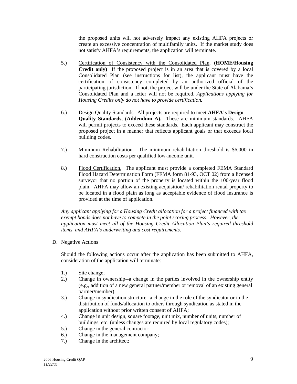the proposed units will not adversely impact any existing AHFA projects or create an excessive concentration of multifamily units. If the market study does not satisfy AHFA's requirements, the application will terminate.

- 5.) Certification of Consistency with the Consolidated Plan. **(HOME/Housing Credit only)** If the proposed project is in an area that is covered by a local Consolidated Plan (see instructions for list), the applicant must have the certification of consistency completed by an authorized official of the participating jurisdiction. If not, the project will be under the State of Alabama's Consolidated Plan and a letter will not be required. *Applications applying for Housing Credits only do not have to provide certification.*
- 6.) Design Quality Standards. All projects are required to meet **AHFA's Design Quality Standards, (Addendum A).** These are minimum standards. AHFA will permit projects to exceed these standards. Each applicant may construct the proposed project in a manner that reflects applicant goals or that exceeds local building codes.
- 7.) Minimum Rehabilitation. The minimum rehabilitation threshold is \$6,000 in hard construction costs per qualified low-income unit.
- 8.) Flood Certification. The applicant must provide a completed FEMA Standard Flood Hazard Determination Form (FEMA form 81-93, OCT 02) from a licensed surveyor that no portion of the property is located within the 100-year flood plain. AHFA may allow an existing acquisition/ rehabilitation rental property to be located in a flood plain as long as acceptable evidence of flood insurance is provided at the time of application.

 *Any applicant applying for a Housing Credit allocation for a project financed with tax exempt bonds does not have to compete in the point scoring process. However, the application must meet all of the Housing Credit Allocation Plan's required threshold items and AHFA's underwriting and cost requirements.* 

D. Negative Actions

Should the following actions occur after the application has been submitted to AHFA, consideration of the application will terminate:

- 1.) Site change;
- 2.) Change in ownership--a change in the parties involved in the ownership entity (e.g., addition of a new general partner**/**member or removal of an existing general partner**/**member);
- 3.) Change in syndication structure--a change in the role of the syndicator or in the distribution of funds/allocation to others through syndication as stated in the application without prior written consent of AHFA;
- 4.) Change in unit design, square footage, unit mix, number of units, number of buildings, etc. (unless changes are required by local regulatory codes);
- 5.) Change in the general contractor;
- 6.) Change in the management company;
- 7.) Change in the architect;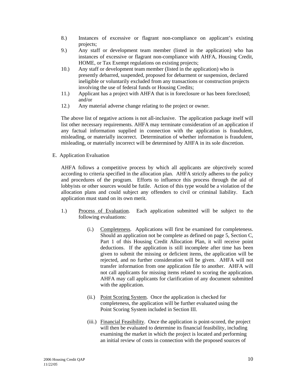- 8.) Instances of excessive or flagrant non-compliance on applicant's existing projects;
- 9.) Any staff or development team member (listed in the application) who has instances of excessive or flagrant non-compliance with AHFA, Housing Credit, HOME, or Tax Exempt regulations on existing projects;
- 10.) Any staff or development team member (listed in the application) who is presently debarred, suspended, proposed for debarment or suspension, declared ineligible or voluntarily excluded from any transactions or construction projects involving the use of federal funds or Housing Credits;
- 11.) Applicant has a project with AHFA that is in foreclosure or has been foreclosed; and/or
- 12.) Any material adverse change relating to the project or owner.

The above list of negative actions is not all-inclusive. The application package itself will list other necessary requirements. AHFA may terminate consideration of an application if any factual information supplied in connection with the application is fraudulent, misleading, or materially incorrect. Determination of whether information is fraudulent, misleading, or materially incorrect will be determined by AHFA in its sole discretion.

E. Application Evaluation

AHFA follows a competitive process by which all applicants are objectively scored according to criteria specified in the allocation plan. AHFA strictly adheres to the policy and procedures of the program. Efforts to influence this process through the aid of lobbyists or other sources would be futile. Action of this type would be a violation of the allocation plans and could subject any offenders to civil or criminal liability. Each application must stand on its own merit.

- 1.) Process of Evaluation. Each application submitted will be subject to the following evaluations:
	- (i.) Completeness. Applications will first be examined for completeness. Should an application not be complete as defined on page 5, Section C, Part 1 of this Housing Credit Allocation Plan, it will receive point deductions. If the application is still incomplete after time has been given to submit the missing or deficient items, the application will be rejected, and no further consideration will be given. AHFA will not transfer information from one application file to another. AHFA will not call applicants for missing items related to scoring the application. AHFA may call applicants for clarification of any document submitted with the application.
	- (ii.) Point Scoring System. Once the application is checked for completeness, the application will be further evaluated using the Point Scoring System included in Section III.
	- (iii.) Financial Feasibility. Once the application is point-scored, the project will then be evaluated to determine its financial feasibility, including examining the market in which the project is located and performing an initial review of costs in connection with the proposed sources of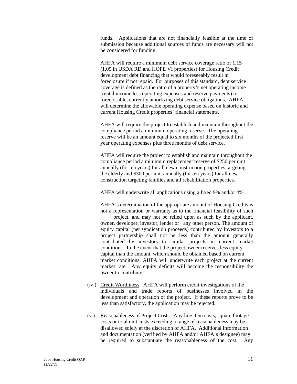funds. Applications that are not financially feasible at the time of submission because additional sources of funds are necessary will not be considered for funding.

 AHFA will require a minimum debt service coverage ratio of 1.15 (1.05 in USDA RD and HOPE VI properties) for Housing Credit development debt financing that would foreseeably result in foreclosure if not repaid. For purposes of this standard, debt service coverage is defined as the ratio of a property's net operating income (rental income less operating expenses and reserve payments) to foreclosable, currently amortizing debt service obligations. AHFA will determine the allowable operating expense based on historic and current Housing Credit properties' financial statements.

 AHFA will require the project to establish and maintain throughout the compliance period a minimum operating reserve. The operating reserve will be an amount equal to six months of the projected first year operating expenses plus three months of debt service.

 AHFA will require the project to establish and maintain throughout the compliance period a minimum replacement reserve of \$250 per unit annually (for ten years) for all new construction properties targeting the elderly and \$300 per unit annually (for ten years) for all new construction targeting families and all rehabilitation properties.

AHFA will underwrite all applications using a fixed 9% and/or 4%.

AHFA's determination of the appropriate amount of Housing Credits is not a representation or warranty as to the financial feasibility of such

 project, and may not be relied upon as such by the applicant, owner, developer, investor, lender or any other person. The amount of equity capital (net syndication proceeds) contributed by Investors to a project partnership shall not be less than the amount generally contributed by investors to similar projects in current market conditions. In the event that the project owner receives less equity capital than the amount, which should be obtained based on current market conditions, AHFA will underwrite each project at the current market rate. Any equity deficits will become the responsibility the owner to contribute.

- (iv.) Credit Worthiness. AHFA will perform credit investigations of the individuals and trade reports of businesses involved in the development and operation of the project. If these reports prove to be less than satisfactory, the application may be rejected.
- (v.) Reasonableness of Project Costs. Any line item costs, square footage costs or total unit costs exceeding a range of reasonableness may be disallowed solely at the discretion of AHFA. Additional information and documentation (verified by AHFA and/or AHFA's designee) may be required to substantiate the reasonableness of the cost. Any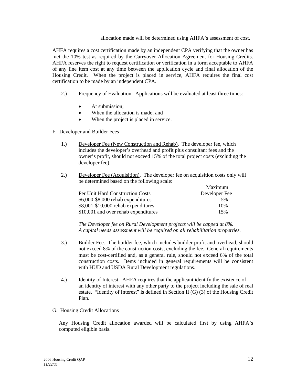#### allocation made will be determined using AHFA's assessment of cost.

AHFA requires a cost certification made by an independent CPA verifying that the owner has met the 10% test as required by the Carryover Allocation Agreement for Housing Credits. AHFA reserves the right to request certification or verification in a form acceptable to AHFA of any line item cost at any time between the application cycle and final allocation of the Housing Credit. When the project is placed in service, AHFA requires the final cost certification to be made by an independent CPA.

- 2.) Frequency of Evaluation. Applications will be evaluated at least three times:
	- At submission:
	- When the allocation is made; and
	- When the project is placed in service.
- F. Developer and Builder Fees
	- 1.) Developer Fee (New Construction and Rehab). The developer fee, which includes the developer's overhead and profit plus consultant fees and the owner's profit, should not exceed 15% of the total project costs (excluding the developer fee).
	- 2.) Developer Fee (Acquisition). The developer fee on acquisition costs only will be determined based on the following scale:

|                                      | Maximum       |
|--------------------------------------|---------------|
| Per Unit Hard Construction Costs     | Developer Fee |
| \$6,000-\$8,000 rehab expenditures   | .5%           |
| \$8,001-\$10,000 rehab expenditures  | 10%           |
| \$10,001 and over rehab expenditures | 15%           |

 *The Developer fee on Rural Development projects will be capped at 8%. A capital needs assessment will be required on all rehabilitation properties.* 

- 3.) Builder Fee. The builder fee, which includes builder profit and overhead, should not exceed 8% of the construction costs, excluding the fee. General requirements must be cost-certified and, as a general rule, should not exceed 6% of the total construction costs. Items included in general requirements will be consistent with HUD and USDA Rural Development regulations.
- 4.) Identity of Interest. AHFA requires that the applicant identify the existence of an identity of interest with any other party to the project including the sale of real estate. "Identity of Interest" is defined in Section II (G) (3) of the Housing Credit Plan.

#### G. Housing Credit Allocations

Any Housing Credit allocation awarded will be calculated first by using AHFA's computed eligible basis.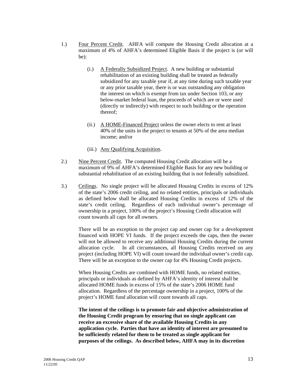- 1.) Four Percent Credit. AHFA will compute the Housing Credit allocation at a maximum of 4% of AHFA's determined Eligible Basis if the project is (or will be):
	- (i.) A Federally Subsidized Project. A new building or substantial rehabilitation of an existing building shall be treated as federally subsidized for any taxable year if, at any time during such taxable year or any prior taxable year, there is or was outstanding any obligation the interest on which is exempt from tax under Section 103, or any below-market federal loan, the proceeds of which are or were used (directly or indirectly) with respect to such building or the operation thereof;
	- (ii.) A HOME-Financed Project unless the owner elects to rent at least 40% of the units in the project to tenants at 50% of the area median income; and/or
	- (iii.) Any Qualifying Acquisition.
- 2.) Nine Percent Credit. The computed Housing Credit allocation will be a maximum of 9% of AHFA's determined Eligible Basis for any new building or substantial rehabilitation of an existing building that is not federally subsidized.
- 3.) Ceilings. No single project will be allocated Housing Credits in excess of 12% of the state's 2006 credit ceiling, and no related entities, principals or individuals as defined below shall be allocated Housing Credits in excess of 12% of the state's credit ceiling. Regardless of each individual owner's percentage of ownership in a project, 100% of the project's Housing Credit allocation will count towards all caps for all owners.

There will be an exception to the project cap and owner cap for a development financed with HOPE VI funds. If the project exceeds the caps, then the owner will not be allowed to receive any additional Housing Credits during the current allocation cycle. In all circumstances, all Housing Credits received on any project (including HOPE VI) will count toward the individual owner's credit cap. There will be an exception to the owner cap for 4% Housing Credit projects.

 When Housing Credits are combined with HOME funds, no related entities, principals or individuals as defined by AHFA's identity of interest shall be allocated HOME funds in excess of 15% of the state's 2006 HOME fund allocation. Regardless of the percentage ownership in a project, 100% of the project's HOME fund allocation will count towards all caps.

 **The intent of the ceilings is to promote fair and objective administration of the Housing Credit program by ensuring that no single applicant can receive an excessive share of the available Housing Credits in any application cycle. Parties that have an identity of interest are presumed to be sufficiently related for them to be treated as single applicant for purposes of the ceilings. As described below, AHFA may in its discretion**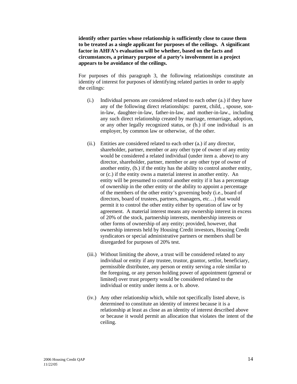**identify other parties whose relationship is sufficiently close to cause them to be treated as a single applicant for purposes of the ceilings. A significant factor in AHFA's evaluation will be whether, based on the facts and circumstances, a primary purpose of a party's involvement in a project appears to be avoidance of the ceilings.** 

For purposes of this paragraph 3, the following relationships constitute an identity of interest for purposes of identifying related parties in order to apply the ceilings:

- (i.) Individual persons are considered related to each other (a.) if they have any of the following direct relationships: parent, child, , spouse, sonin-law, daughter-in-law, father-in-law, and mother-in-law., including any such direct relationship created by marriage, remarriage, adoption, or any other legally recognized status, or (b.) if one individual is an employer, by common law or otherwise, of the other.
- (ii.) Entities are considered related to each other (a.) if any director, shareholder, partner, member or any other type of owner of any entity would be considered a related individual (under item a. above) to any director, shareholder, partner, member or any other type of owner of another entity, (b.) if the entity has the ability to control another entity, or (c.) if the entity owns a material interest in another entity. An entity will be presumed to control another entity if it has a percentage of ownership in the other entity or the ability to appoint a percentage of the members of the other entity's governing body (i.e., board of directors, board of trustees, partners, managers, etc…) that would permit it to control the other entity either by operation of law or by agreement. A material interest means any ownership interest in excess of 20% of the stock, partnership interests, membership interests or other forms of ownership of any entity; provided, however, that ownership interests held by Housing Credit investors, Housing Credit syndicators or special administrative partners or members shall be disregarded for purposes of 20% test.
- (iii.) Without limiting the above, a trust will be considered related to any individual or entity if any trustee, trustor, grantor, settlor, beneficiary, permissible distributee, any person or entity serving a role similar to the foregoing, or any person holding power of appointment (general or limited) over trust property would be considered related to the individual or entity under items a. or b. above.
- (iv.) Any other relationship which, while not specifically listed above, is determined to constitute an identity of interest because it is a relationship at least as close as an identity of interest described above or because it would permit an allocation that violates the intent of the ceiling.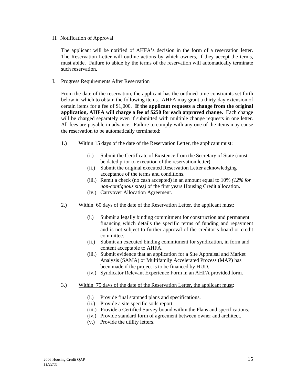H. Notification of Approval

The applicant will be notified of AHFA's decision in the form of a reservation letter. The Reservation Letter will outline actions by which owners, if they accept the terms, must abide. Failure to abide by the terms of the reservation will automatically terminate such reservation.

I. Progress Requirements After Reservation

From the date of the reservation, the applicant has the outlined time constraints set forth below in which to obtain the following items. AHFA may grant a thirty-day extension of certain items for a fee of \$1,000. **If the applicant requests a change from the original application, AHFA will charge a fee of \$250 for each approved change.** Each change will be charged separately even if submitted with multiple change requests in one letter. All fees are payable in advance. Failure to comply with any one of the items may cause the reservation to be automatically terminated:

- 1.) Within 15 days of the date of the Reservation Letter, the applicant must:
	- (i.) Submit the Certificate of Existence from the Secretary of State (must be dated prior to execution of the reservation letter).
	- (ii.) Submit the original executed Reservation Letter acknowledging acceptance of the terms and conditions.
	- (iii.) Remit a check (no cash accepted) in an amount equal to 10% *(12% for non-contiguous sites)* of the first years Housing Credit allocation.
	- (iv.) Carryover Allocation Agreement.
- 2.) Within 60 days of the date of the Reservation Letter, the applicant must:
	- (i.) Submit a legally binding commitment for construction and permanent financing which details the specific terms of funding and repayment and is not subject to further approval of the creditor's board or credit committee.
	- (ii.) Submit an executed binding commitment for syndication, in form and content acceptable to AHFA.
	- (iii.) Submit evidence that an application for a Site Appraisal and Market Analysis (SAMA) or Multifamily Accelerated Process (MAP) has been made if the project is to be financed by HUD.
	- (iv.) Syndicator Relevant Experience Form in an AHFA provided form.
- 3.) Within 75 days of the date of the Reservation Letter, the applicant must:
	- (i.) Provide final stamped plans and specifications.
	- (ii.) Provide a site specific soils report.
	- (iii.) Provide a Certified Survey bound within the Plans and specifications.
	- (iv.) Provide standard form of agreement between owner and architect.
	- (v.) Provide the utility letters.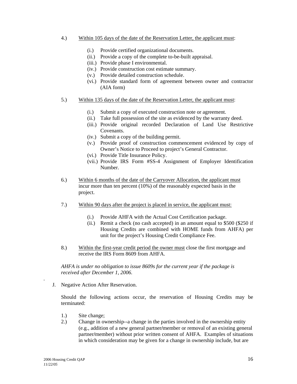#### 4.) Within 105 days of the date of the Reservation Letter, the applicant must:

- (i.) Provide certified organizational documents.
- (ii.) Provide a copy of the complete to-be-built appraisal.
- (iii.) Provide phase I environmental.
- (iv.) Provide construction cost estimate summary.
- (v.) Provide detailed construction schedule.
- (vi.) Provide standard form of agreement between owner and contractor (AIA form)
- 5.) Within 135 days of the date of the Reservation Letter, the applicant must:
	- (i.) Submit a copy of executed construction note or agreement.
	- (ii.) Take full possession of the site as evidenced by the warranty deed.
	- (iii.) Provide original recorded Declaration of Land Use Restrictive Covenants.
	- (iv.) Submit a copy of the building permit.
	- (v.) Provide proof of construction commencement evidenced by copy of Owner's Notice to Proceed to project's General Contractor.
	- (vi.) Provide Title Insurance Policy.
	- (vii.) Provide IRS Form #SS-4 Assignment of Employer Identification Number.
- 6.) Within 6 months of the date of the Carryover Allocation, the applicant must incur more than ten percent (10%) of the reasonably expected basis in the project.
- 7.) Within 90 days after the project is placed in service, the applicant must:
	- (i.) Provide AHFA with the Actual Cost Certification package.
	- (ii.) Remit a check (no cash accepted) in an amount equal to \$500 (\$250 if Housing Credits are combined with HOME funds from AHFA) per unit for the project's Housing Credit Compliance Fee.
- 8.) Within the first-year credit period the owner must close the first mortgage and receive the IRS Form 8609 from AHFA.

 *AHFA is under no obligation to issue 8609s for the current year if the package is received after December 1, 2006.* 

J. Negative Action After Reservation.

Should the following actions occur, the reservation of Housing Credits may be terminated:

- 1.) Site change;
- 2.) Change in ownership--a change in the parties involved in the ownership entity (e.g., addition of a new general partner**/**member or removal of an existing general partner**/**member) without prior written consent of AHFA. Examples of situations in which consideration may be given for a change in ownership include, but are

*.*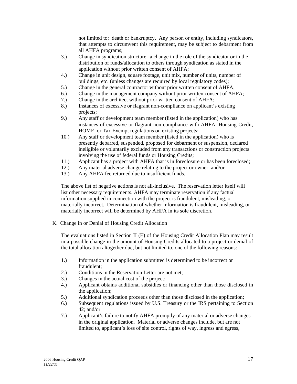not limited to: death or bankruptcy. Any person or entity, including syndicators, that attempts to circumvent this requirement, may be subject to debarment from all AHFA programs;

- 3.) Change in syndication structure--a change in the role of the syndicator or in the distribution of funds/allocation to others through syndication as stated in the application without prior written consent of AHFA;
- 4.) Change in unit design, square footage, unit mix, number of units, number of buildings, etc. (unless changes are required by local regulatory codes);
- 5.) Change in the general contractor without prior written consent of AHFA;
- 6.) Change in the management company without prior written consent of AHFA;
- 7.) Change in the architect without prior written consent of AHFA;
- 8.) Instances of excessive or flagrant non-compliance on applicant's existing projects;
- 9.) Any staff or development team member (listed in the application) who has instances of excessive or flagrant non-compliance with AHFA, Housing Credit, HOME, or Tax Exempt regulations on existing projects;
- 10.) Any staff or development team member (listed in the application) who is presently debarred, suspended, proposed for debarment or suspension, declared ineligible or voluntarily excluded from any transactions or construction projects involving the use of federal funds or Housing Credits;
- 11.) Applicant has a project with AHFA that is in foreclosure or has been foreclosed;
- 12.) Any material adverse change relating to the project or owner; and/or
- 13.) Any AHFA fee returned due to insufficient funds.

 The above list of negative actions is not all-inclusive. The reservation letter itself will list other necessary requirements. AHFA may terminate reservation if any factual information supplied in connection with the project is fraudulent, misleading, or materially incorrect. Determination of whether information is fraudulent, misleading, or materially incorrect will be determined by AHFA in its sole discretion.

K. Change in or Denial of Housing Credit Allocation

The evaluations listed in Section II (E) of the Housing Credit Allocation Plan may result in a possible change in the amount of Housing Credits allocated to a project or denial of the total allocation altogether due, but not limited to, one of the following reasons:

- 1.) Information in the application submitted is determined to be incorrect or fraudulent;
- 2.) Conditions in the Reservation Letter are not met;
- 3.) Changes in the actual cost of the project;
- 4.) Applicant obtains additional subsidies or financing other than those disclosed in the application;
- 5.) Additional syndication proceeds other than those disclosed in the application;
- 6.) Subsequent regulations issued by U.S. Treasury or the IRS pertaining to Section 42; and/or
- 7.) Applicant's failure to notify AHFA promptly of any material or adverse changes in the original application. Material or adverse changes include, but are not limited to, applicant's loss of site control, rights of way, ingress and egress,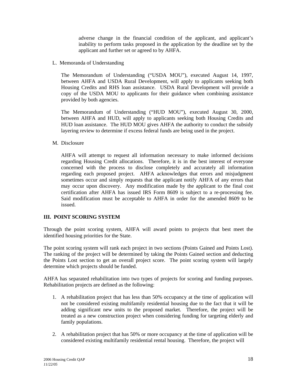adverse change in the financial condition of the applicant, and applicant's inability to perform tasks proposed in the application by the deadline set by the applicant and further set or agreed to by AHFA.

L. Memoranda of Understanding

The Memorandum of Understanding ("USDA MOU"), executed August 14, 1997, between AHFA and USDA Rural Development, will apply to applicants seeking both Housing Credits and RHS loan assistance. USDA Rural Development will provide a copy of the USDA MOU to applicants for their guidance when combining assistance provided by both agencies.

The Memorandum of Understanding ("HUD MOU"), executed August 30, 2000, between AHFA and HUD, will apply to applicants seeking both Housing Credits and HUD loan assistance. The HUD MOU gives AHFA the authority to conduct the subsidy layering review to determine if excess federal funds are being used in the project.

M. Disclosure

AHFA will attempt to request all information necessary to make informed decisions regarding Housing Credit allocations. Therefore, it is in the best interest of everyone concerned with the process to disclose completely and accurately all information regarding each proposed project. AHFA acknowledges that errors and misjudgment sometimes occur and simply requests that the applicant notify AHFA of any errors that may occur upon discovery. Any modification made by the applicant to the final cost certification after AHFA has issued IRS Form 8609 is subject to a re-processing fee. Said modification must be acceptable to AHFA in order for the amended 8609 to be issued.

# **III. POINT SCORING SYSTEM**

Through the point scoring system, AHFA will award points to projects that best meet the identified housing priorities for the State.

The point scoring system will rank each project in two sections (Points Gained and Points Lost). The ranking of the project will be determined by taking the Points Gained section and deducting the Points Lost section to get an overall project score. The point scoring system will largely determine which projects should be funded.

AHFA has separated rehabilitation into two types of projects for scoring and funding purposes. Rehabilitation projects are defined as the following:

- 1. A rehabilitation project that has less than 50% occupancy at the time of application will not be considered existing multifamily residential housing due to the fact that it will be adding significant new units to the proposed market. Therefore, the project will be treated as a new construction project when considering funding for targeting elderly and family populations.
- 2. A rehabilitation project that has 50% or more occupancy at the time of application will be considered existing multifamily residential rental housing. Therefore, the project will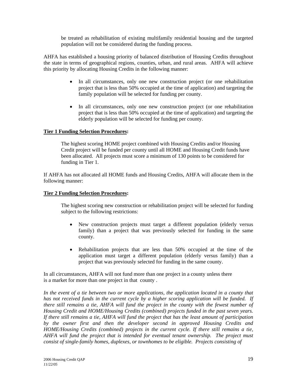be treated as rehabilitation of existing multifamily residential housing and the targeted population will not be considered during the funding process.

AHFA has established a housing priority of balanced distribution of Housing Credits throughout the state in terms of geographical regions, counties, urban, and rural areas. AHFA will achieve this priority by allocating Housing Credits in the following manner:

- In all circumstances, only one new construction project (or one rehabilitation project that is less than 50% occupied at the time of application) and targeting the family population will be selected for funding per county.
- In all circumstances, only one new construction project (or one rehabilitation project that is less than 50% occupied at the time of application) and targeting the elderly population will be selected for funding per county.

## **Tier 1 Funding Selection Procedures:**

 The highest scoring HOME project combined with Housing Credits and/or Housing Credit project will be funded per county until all HOME and Housing Credit funds have been allocated. All projects must score a minimum of 130 points to be considered for funding in Tier 1.

If AHFA has not allocated all HOME funds and Housing Credits, AHFA will allocate them in the following manner:

#### **Tier 2 Funding Selection Procedures:**

 The highest scoring new construction or rehabilitation project will be selected for funding subject to the following restrictions:

- New construction projects must target a different population (elderly versus family) than a project that was previously selected for funding in the same county.
- Rehabilitation projects that are less than 50% occupied at the time of the application must target a different population (elderly versus family) than a project that was previously selected for funding in the same county.

In all circumstances, AHFA will not fund more than one project in a county unless there is a market for more than one project in that county .

In the event of a tie between two or more applications, the application located in a county that *has not received funds in the current cycle by a higher scoring application will be funded. If there still remains a tie, AHFA will fund the project in the county with the fewest number of Housing Credit and HOME/Housing Credits (combined) projects funded in the past seven years. If there still remains a tie, AHFA will fund the project that has the least amount of participation by the owner first and then the developer second in approved Housing Credits and HOME/Housing Credits (combined) projects in the current cycle. If there still remains a tie, AHFA will fund the project that is intended for eventual tenant ownership. The project must consist of single-family homes, duplexes, or townhomes to be eligible. Projects consisting of*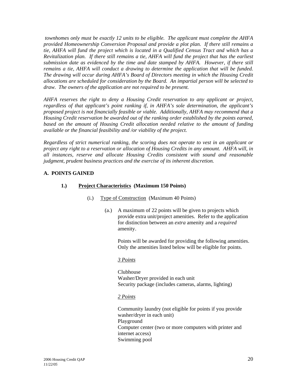*townhomes only must be exactly 12 units to be eligible. The applicant must complete the AHFA provided Homeownership Conversion Proposal and provide a plot plan. If there still remains a tie, AHFA will fund the project which is located in a Qualified Census Tract and which has a Revitalization plan. If there still remains a tie, AHFA will fund the project that has the earliest submission date as evidenced by the time and date stamped by AHFA. However, if there still remains a tie, AHFA will conduct a drawing to determine the application that will be funded. The drawing will occur during AHFA's Board of Directors meeting in which the Housing Credit allocations are scheduled for consideration by the Board. An impartial person will be selected to draw. The owners of the application are not required to be present.* 

*AHFA reserves the right to deny a Housing Credit reservation to any applicant or project, regardless of that applicant's point ranking if, in AHFA's sole determination, the applicant's proposed project is not financially feasible or viable. Additionally, AHFA may recommend that a Housing Credit reservation be awarded out of the ranking order established by the points earned, based on the amount of Housing Credit allocation needed relative to the amount of funding available or the financial feasibility and /or viability of the project.* 

*Regardless of strict numerical ranking, the scoring does not operate to vest in an applicant or project any right to a reservation or allocation of Housing Credits in any amount. AHFA will, in all instances, reserve and allocate Housing Credits consistent with sound and reasonable judgment, prudent business practices and the exercise of its inherent discretion.* 

# **A. POINTS GAINED**

# **1.) Project Characteristics (Maximum 150 Points)**

- (i.) Type of Construction (Maximum 40 Points)
	- (a.) A maximum of 22 points will be given to projects which provide extra unit/project amenities. Refer to the application for distinction between an *extra* amenity and a *required* amenity.

Points will be awarded for providing the following amenities. Only the amenities listed below will be eligible for points.

#### *3 Points*

 Clubhouse Washer/Dryer provided in each unit Security package (includes cameras, alarms, lighting)

#### *2 Points*

Community laundry (not eligible for points if you provide washer/dryer in each unit) Playground Computer center (two or more computers with printer and internet access) Swimming pool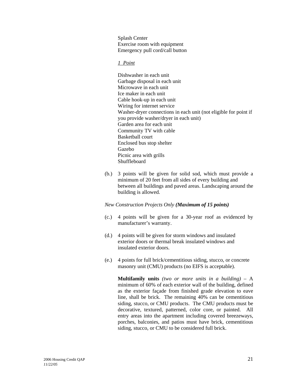Splash Center Exercise room with equipment Emergency pull cord/call button

#### *1 Point*

 Dishwasher in each unit Garbage disposal in each unit Microwave in each unit Ice maker in each unit Cable hook-up in each unit Wiring for internet service Washer-dryer connections in each unit (not eligible for point if you provide washer/dryer in each unit) Garden area for each unit Community TV with cable Basketball court Enclosed bus stop shelter Gazebo Picnic area with grills Shuffleboard

 (b.) 3 points will be given for solid sod, which must provide a minimum of 20 feet from all sides of every building and between all buildings and paved areas. Landscaping around the building is allowed.

#### *New Construction Projects Only (Maximum of 15 points)*

- (c.) 4 points will be given for a 30-year roof as evidenced by manufacturer's warranty.
- (d.) 4 points will be given for storm windows and insulated exterior doors or thermal break insulated windows and insulated exterior doors.
- (e.) 4 points for full brick/cementitious siding, stucco, or concrete masonry unit (CMU) products (no EIFS is acceptable).

**Multifamily units** *(two or more units in a building)* – A minimum of 60% of each exterior wall of the building, defined as the exterior façade from finished grade elevation to eave line, shall be brick. The remaining 40% can be cementitious siding, stucco, or CMU products. The CMU products must be decorative, textured, patterned, color core, or painted. All entry areas into the apartment including covered breezeways, porches, balconies, and patios must have brick, cementitious siding, stucco, or CMU to be considered full brick.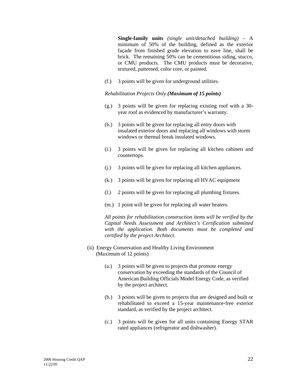**Single-family units** *(single unit/detached building)* – A minimum of 50% of the building, defined as the exterior façade from finished grade elevation to eave line, shall be brick. The remaining 50% can be cementitious siding, stucco, or CMU products. The CMU products must be decorative, textured, patterned, color core, or painted.

(f.) 3 points will be given for underground utilities.

#### *Rehabilitation Projects Only (Maximum of 15 points)*

- (g.) 3 points will be given for replacing existing roof with a 30 year roof as evidenced by manufacturer's warranty.
- (h.) 3 points will be given for replacing all entry doors with insulated exterior doors and replacing all windows with storm windows or thermal break insulated windows.
- (i.) 3 points will be given for replacing all kitchen cabinets and countertops.
- (j.) 3 points will be given for replacing all kitchen appliances.
- (k.) 3 points will be given for replacing all HVAC equipment
- (l.) 2 points will be given for replacing all plumbing fixtures.
- (m.) 1 point will be given for replacing all water heaters.

 *All points for rehabilitation construction items will be verified by the Capital Needs Assessment and Architect's Certification submitted with the application. Both documents must be completed and certified by the project Architect.* 

- (ii) Energy Conservation and Healthy Living Environment (Maximum of 12 points)
	- (a.) 3 points will be given to projects that promote energy conservation by exceeding the standards of the Council of American Building Officials Model Energy Code, as verified by the project architect.
	- (b.) 3 points will be given to projects that are designed and built or rehabilitated to exceed a 15-year maintenance-free exterior standard, as verified by the project architect.
	- (c.) 3 points will be given for all units containing Energy STAR rated appliances (refrigerator and dishwasher).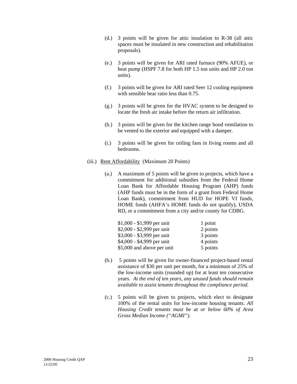- (d.) 3 points will be given for attic insulation to R-38 (all attic spaces must be insulated in new construction and rehabilitation proposals).
- (e.) 3 points will be given for ARI rated furnace (90% AFUE), or heat pump (HSPF 7.8 for both HP 1.5 ton units and HP 2.0 ton units).
- (f.) 3 points will be given for ARI rated Seer 12 cooling equipment with sensible hear ratio less than 0.75.
- (g.) 3 points will be given for the HVAC system to be designed to locate the fresh air intake before the return air infiltration.
- (h.) 3 points will be given for the kitchen range hood ventilation to be vented to the exterior and equipped with a damper.
- (i.) 3 points will be given for ceiling fans in living rooms and all bedrooms.
- (iii.) Rent Affordability (Maximum 20 Points)
	- (a.) A maximum of 5 points will be given to projects, which have a commitment for additional subsidies from the Federal Home Loan Bank for Affordable Housing Program (AHP) funds (AHP funds must be in the form of a grant from Federal Home Loan Bank), commitment from HUD for HOPE VI funds, HOME funds (AHFA's HOME funds do not qualify), USDA RD, or a commitment from a city and/or county for CDBG.

| $$1,000 - $1,999$ per unit | 1 point  |
|----------------------------|----------|
| $$2,000 - $2,999$ per unit | 2 points |
| \$3,000 - \$3,999 per unit | 3 points |
| \$4,000 - \$4,999 per unit | 4 points |
| \$5,000 and above per unit | 5 points |

- (b.) 5 points will be given for owner-financed project-based rental assistance of \$30 per unit per month, for a minimum of 25% of the low-income units (rounded up) for at least ten consecutive years. *At the end of ten years, any unused funds should remain available to assist tenants throughout the compliance period.*
- (c.) 5 points will be given to projects, which elect to designate 100% of the rental units for low-income housing tenants. *All Housing Credit tenants must be at or below 60% of Area Gross Median Income ("AGMI").*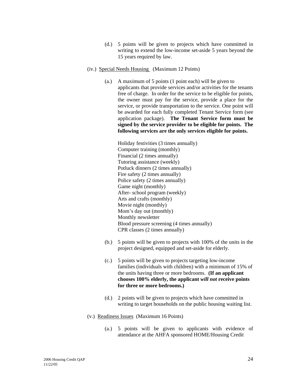- (d.) 5 points will be given to projects which have committed in writing to extend the low-income set-aside 5 years beyond the 15 years required by law.
- (iv.) Special Needs Housing (Maximum 12 Points)
	- (a.) A maximum of 5 points (1 point each) will be given to applicants that provide services and/or activities for the tenants free of charge. In order for the service to be eligible for points, the owner must pay for the service, provide a place for the service, or provide transportation to the service. One point will be awarded for each fully completed Tenant Service form (see application package). **The Tenant Service form must be signed by the service provider to be eligible for points. The following services are the only services eligible for points.**

 Holiday festivities (3 times annually) Computer training (monthly) Financial (2 times annually) Tutoring assistance (weekly) Potluck dinners (2 times annually) Fire safety (2 times annually) Police safety (2 times annually) Game night (monthly) After- school program (weekly) Arts and crafts (monthly) Movie night (monthly) Mom's day out (monthly) Monthly newsletter Blood pressure screening (4 times annually) CPR classes (2 times annually)

- (b.) 5 points will be given to projects with 100% of the units in the project designed, equipped and set-aside for elderly.
- (c.) 5 points will be given to projects targeting low-income families (individuals with children) with a minimum of 15% of the units having three or more bedrooms. **(If an applicant chooses 100% elderly, the applicant** *will not* **receive points for three or more bedrooms.)**
- (d.) 2 points will be given to projects which have committed in writing to target households on the public housing waiting list.
- (v.) Readiness Issues (Maximum 16 Points)
	- (a.) 5 points will be given to applicants with evidence of attendance at the AHFA sponsored HOME/Housing Credit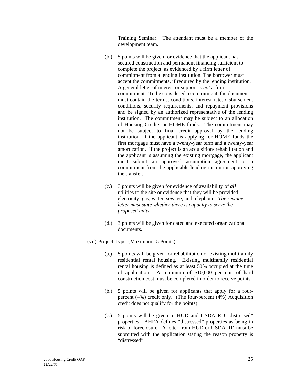Training Seminar. The attendant must be a member of the development team.

- (b.) 5 points will be given for evidence that the applicant has secured construction and permanent financing sufficient to complete the project, as evidenced by a firm letter of commitment from a lending institution. The borrower must accept the commitments, if required by the lending institution. A general letter of interest or support is *not* a firm commitment. To be considered a commitment, the document must contain the terms, conditions, interest rate, disbursement conditions, security requirements, and repayment provisions and be signed by an authorized representative of the lending institution. The commitment may be subject to an allocation of Housing Credits or HOME funds. The commitment may not be subject to final credit approval by the lending institution. If the applicant is applying for HOME funds the first mortgage must have a twenty-year term and a twenty-year amortization. If the project is an acquisition/ rehabilitation and the applicant is assuming the existing mortgage, the applicant must submit an approved assumption agreement or a commitment from the applicable lending institution approving the transfer.
- (c.) 3 points will be given for evidence of availability of *all* utilities to the site or evidence that they will be provided electricity, gas, water, sewage, and telephone. *The sewage letter must state whether there is capacity to serve the proposed units.*
- (d.) 3 points will be given for dated and executed organizational documents.
- (vi.) Project Type (Maximum 15 Points)
	- (a.) 5 points will be given for rehabilitation of existing multifamily residential rental housing. Existing multifamily residential rental housing is defined as at least 50% occupied at the time of application. A minimum of \$10,000 per unit of hard construction cost must be completed in order to receive points.
	- (b.) 5 points will be given for applicants that apply for a fourpercent (4%) credit only. (The four-percent (4%) Acquisition credit does not qualify for the points)
	- (c.) 5 points will be given to HUD and USDA RD "distressed" properties. AHFA defines "distressed" properties as being in risk of foreclosure. A letter from HUD or USDA RD must be submitted with the application stating the reason property is "distressed".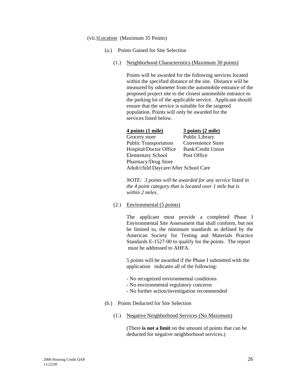#### (vii.) Location (Maximum 35 Points)

- (a.) Points Gained for Site Selection
	- (1.) Neighborhood Characteristics (Maximum 30 points)

 Points will be awarded for the following services located within the specified distance of the site. Distance will be measured by odometer from the automobile entrance of the proposed project site to the closest automobile entrance to the parking lot of the applicable service. Applicant should ensure that the service is suitable for the targeted population. Points will only be awarded for the services listed below.

| 4 points (1 mile)                     | 3 points (2 mile) |
|---------------------------------------|-------------------|
| Grocery store                         | Public Library    |
| <b>Public Transportation</b>          | Convenience Store |
| Hospital/Doctor Office                | Bank/Credit Union |
| <b>Elementary School</b>              | Post Office       |
| Pharmacy/Drug Store                   |                   |
| Adult/child Daycare/After School Care |                   |

*NOTE: 3 points will be awarded for any service listed in the 4 point category that is located over 1 mile but is within 2 miles.* 

(2.) Environmental (5 points)

 The applicant must provide a completed Phase I Environmental Site Assessment that shall conform, but not be limited to, the minimum standards as defined by the American Society for Testing and Materials Practice Standards E-1527-00 to qualify for the points. The report must be addressed to AHFA.

5 points will be awarded if the Phase I submitted with the application indicates all of the following:

- No recognized environmental conditions
- No environmental regulatory concerns
- No further action/investigation recommended
- (b.) Points Deducted for Site Selection
	- (1.) Negative Neighborhood Services (No Maximum)

(There **is not a limit** on the amount of points that can be deducted for negative neighborhood services.)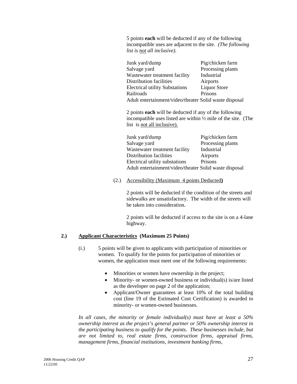5 points **each** will be deducted if any of the following incompatible uses are adjacent to the site. *(The following list is not all inclusive).*

| Junk yard/dump                                         | Pig/chicken farm    |
|--------------------------------------------------------|---------------------|
| Salvage yard                                           | Processing plants   |
| Wastewater treatment facility                          | Industrial          |
| Distribution facilities                                | Airports            |
| <b>Electrical utility Substations</b>                  | <b>Liquor Store</b> |
| Railroads                                              | Prisons             |
| Adult entertainment/video/theater Solid waste disposal |                     |

2 points **each** will be deducted if any of the following incompatible uses listed are within ½ mile of the site. (The list is not all inclusive).

| Junk yard/dump                                         | Pig/chicken farm  |
|--------------------------------------------------------|-------------------|
| Salvage yard                                           | Processing plants |
| Wastewater treatment facility                          | Industrial        |
| Distribution facilities                                | Airports          |
| Electrical utility substations                         | Prisons           |
| Adult entertainment/video/theater Solid waste disposal |                   |

(2.) Accessibility (Maximum 4 points Deducted**)**

2 points will be deducted if the condition of the streets and sidewalks are unsatisfactory. The width of the streets will be taken into consideration.

 2 points will be deducted if access to the site is on a 4-lane highway.

# **2.) Applicant Characteristics (Maximum 25 Points)**

- (i.) 5 points will be given to applicants with participation of minorities or women. To qualify for the points for participation of minorities or women, the application must meet one of the following requirements:
	- Minorities or women have ownership in the project;
	- Minority- or women-owned business or individual(s) is/are listed as the developer on page 2 of the application;
	- Applicant/Owner guarantees at least 10% of the total building cost (line 19 of the Estimated Cost Certification) is awarded to minority- or women-owned businesses.

 *In all cases, the minority or female individual(s) must have at least a 50% ownership interest as the project's general partner or 50% ownership interest in the participating business to qualify for the points. These businesses include, but are not limited to, real estate firms, construction firms, appraisal firms, management firms, financial institutions, investment banking firms,*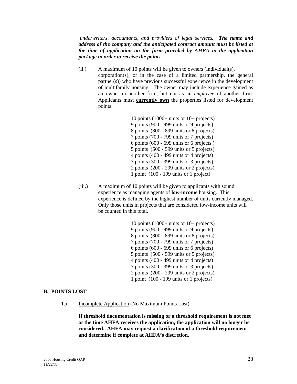*underwriters, accountants, and providers of legal services. The name and address of the company and the anticipated contract amount must be listed at the time of application on the form provided by AHFA in the application package in order to receive the points.*

(ii.) A maximum of 10 points will be given to owners (individual(s), corporation(s), or in the case of a limited partnership, the general partner(s)) who have previous successful experience in the development of multifamily housing. The owner may include experience gained as an owner in another firm, but not as an *employee* of another firm. Applicants must **currently own** the properties listed for development points.

> 10 points (1000+ units or 10+ projects) 9 points (900 - 999 units or 9 projects) 8 points (800 - 899 units or 8 projects) 7 points (700 - 799 units or 7 projects) 6 points (600 - 699 units or 6 projects ) 5 points (500 - 599 units or 5 projects) 4 points (400 - 499 units or 4 projects) 3 points (300 - 399 units or 3 projects) 2 points (200 - 299 units or 2 projects) 1 point (100 - 199 units or 1 project)

 (iii.) A maximum of 10 points will be given to applicants with sound experience as managing agents of **low-income** housing. This experience is defined by the highest number of units currently managed. Only those units in projects that are considered low-income units will be counted in this total.

> 10 points (1000+ units or 10+ projects) 9 points (900 - 999 units or 9 projects) 8 points (800 - 899 units or 8 projects) 7 points (700 - 799 units or 7 projects) 6 points (600 - 699 units or 6 projects) 5 points (500 - 599 units or 5 projects) 4 points (400 - 499 units or 4 projects) 3 points (300 - 399 units or 3 projects) 2 points (200 - 299 units or 2 projects) 1 point (100 - 199 units or 1 projects)

#### **B. POINTS LOST**

1.) Incomplete Application (No Maximum Points Lost)

 **If threshold documentation is missing or a threshold requirement is not met at the time AHFA receives the application, the application will no longer be considered. AHFA may request a clarification of a threshold requirement and determine if complete at AHFA's discretion.**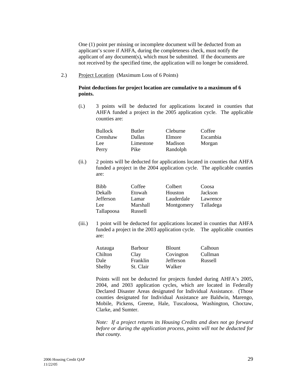One (1) point per missing or incomplete document will be deducted from an applicant's score if AHFA, during the completeness check, must notify the applicant of any document(s), which must be submitted. If the documents are not received by the specified time, the application will no longer be considered.

2.) Project Location (Maximum Loss of 6 Points)

#### **Point deductions for project location are cumulative to a maximum of 6 points.**

 (i.) 3 points will be deducted for applications located in counties that AHFA funded a project in the 2005 application cycle. The applicable counties are:

| <b>Bullock</b> | Butler    | Cleburne | Coffee   |
|----------------|-----------|----------|----------|
| Crenshaw       | Dallas    | Elmore   | Escambia |
| Lee            | Limestone | Madison  | Morgan   |
| Perry          | Pike      | Randolph |          |

 (ii.) 2 points will be deducted for applications located in counties that AHFA funded a project in the 2004 application cycle. The applicable counties are:

| Bibb              | Coffee   | Colbert    | Coosa     |
|-------------------|----------|------------|-----------|
| Dekalb            | Etowah   | Houston    | Jackson   |
| Jefferson         | Lamar    | Lauderdale | Lawrence  |
| Lee               | Marshall | Montgomery | Talladega |
| <b>Tallapoosa</b> | Russell  |            |           |

 (iii.) 1 point will be deducted for applications located in counties that AHFA funded a project in the 2003 application cycle. The applicable counties are:

| Autauga | Barbour   | <b>Blount</b> | Calhoun |
|---------|-----------|---------------|---------|
| Chilton | Clay      | Covington     | Cullman |
| Dale    | Franklin  | Jefferson     | Russell |
| Shelby  | St. Clair | Walker        |         |

 Points will not be deducted for projects funded during AHFA's 2005, 2004, and 2003 application cycles, which are located in Federally Declared Disaster Areas designated for Individual Assistance. (Those counties designated for Individual Assistance are Baldwin, Marengo, Mobile, Pickens, Greene, Hale, Tuscaloosa, Washington, Choctaw, Clarke, and Sumter.

*Note: If a project returns its Housing Credits and does not go forward before or during the application process, points will not be deducted for that county.*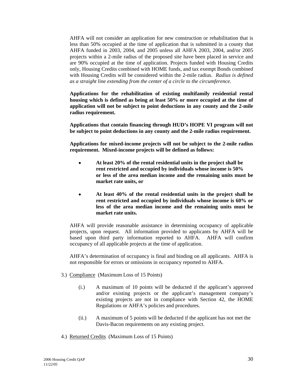AHFA will not consider an application for new construction or rehabilitation that is less than 50% occupied at the time of application that is submitted in a county that AHFA funded in 2003, 2004, and 2005 unless all AHFA 2003, 2004, and/or 2005 projects within a 2-mile radius of the proposed site have been placed in service and are 90% occupied at the time of application. Projects funded with Housing Credits only, Housing Credits combined with HOME funds, and tax exempt Bonds combined with Housing Credits will be considered within the 2-mile radius. *Radius is defined as a straight line extending from the center of a circle to the circumference.* 

**Applications for the rehabilitation of existing multifamily residential rental housing which is defined as being at least 50% or more occupied at the time of application will not be subject to point deductions in any county and the 2-mile radius requirement.** 

**Applications that contain financing through HUD's HOPE VI program will not be subject to point deductions in any county and the 2-mile radius requirement.** 

**Applications for mixed-income projects will not be subject to the 2-mile radius requirement. Mixed-income projects will be defined as follows:** 

- • **At least 20% of the rental residential units in the project shall be rent restricted and occupied by individuals whose income is 50% or less of the area median income and the remaining units must be market rate units, or**
- • **At least 40% of the rental residential units in the project shall be rent restricted and occupied by individuals whose income is 60% or less of the area median income and the remaining units must be market rate units.**

AHFA will provide reasonable assistance in determining occupancy of applicable projects, upon request. All information provided to applicants by AHFA will be based upon third party information reported to AHFA. AHFA will confirm occupancy of all applicable projects at the time of application.

AHFA's determination of occupancy is final and binding on all applicants. AHFA is not responsible for errors or omissions in occupancy reported to AHFA.

- 3.) Compliance (Maximum Loss of 15 Points)
	- (i.) A maximum of 10 points will be deducted if the applicant's approved and/or existing projects or the applicant's management company's existing projects are not in compliance with Section 42, the HOME Regulations or AHFA's policies and procedures.
	- (ii.) A maximum of 5 points will be deducted if the applicant has not met the Davis-Bacon requirements on any existing project.
- 4.) Returned Credits (Maximum Loss of 15 Points)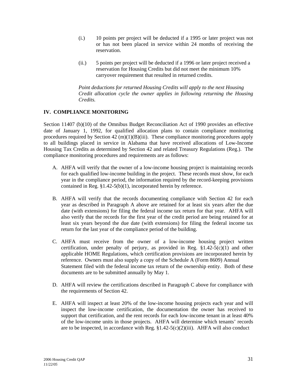- (i.) 10 points per project will be deducted if a 1995 or later project was not or has not been placed in service within 24 months of receiving the reservation.
- (ii.) 5 points per project will be deducted if a 1996 or later project received a reservation for Housing Credits but did not meet the minimum 10% carryover requirement that resulted in returned credits.

 *Point deductions for returned Housing Credits will apply to the next Housing Credit allocation cycle the owner applies in following returning the Housing Credits.* 

# **IV. COMPLIANCE MONITORING**

Section 11407 (b)(10) of the Omnibus Budget Reconciliation Act of 1990 provides an effective date of January 1, 1992, for qualified allocation plans to contain compliance monitoring procedures required by Section  $42 \text{ (m)}(1)(B)$ (iii). These compliance monitoring procedures apply to all buildings placed in service in Alabama that have received allocations of Low-Income Housing Tax Credits as determined by Section 42 and related Treasury Regulations (Reg.). The compliance monitoring procedures and requirements are as follows:

- A. AHFA will verify that the owner of a low-income housing project is maintaining records for each qualified low-income building in the project. These records must show, for each year in the compliance period, the information required by the record-keeping provisions contained in Reg. §1.42-5(b)(1), incorporated herein by reference.
- B. AHFA will verify that the records documenting compliance with Section 42 for each year as described in Paragraph A above are retained for at least six years after the due date (with extensions) for filing the federal income tax return for that year. AHFA will also verify that the records for the first year of the credit period are being retained for at least six years beyond the due date (with extensions) for filing the federal income tax return for the last year of the compliance period of the building.
- C. AHFA must receive from the owner of a low-income housing project written certification, under penalty of perjury, as provided in Reg.  $$1.42-5(c)(1)$  and other applicable HOME Regulations, which certification provisions are incorporated herein by reference. Owners must also supply a copy of the Schedule A (Form 8609) Annual Statement filed with the federal income tax return of the ownership entity. Both of these documents are to be submitted annually by May 1.
- D. AHFA will review the certifications described in Paragraph C above for compliance with the requirements of Section 42.
- E. AHFA will inspect at least 20% of the low-income housing projects each year and will inspect the low-income certification, the documentation the owner has received to support that certification, and the rent records for each low-income tenant in at least 40% of the low-income units in those projects. AHFA will determine which tenants' records are to be inspected, in accordance with Reg. §1.42-5(c)(2)(iii). AHFA will also conduct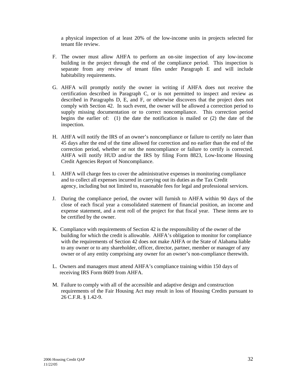a physical inspection of at least 20% of the low-income units in projects selected for tenant file review.

- F. The owner must allow AHFA to perform an on-site inspection of any low-income building in the project through the end of the compliance period. This inspection is separate from any review of tenant files under Paragraph E and will include habitability requirements.
- G. AHFA will promptly notify the owner in writing if AHFA does not receive the certification described in Paragraph C, or is not permitted to inspect and review as described in Paragraphs D, E, and F, or otherwise discovers that the project does not comply with Section 42. In such event, the owner will be allowed a correction period to supply missing documentation or to correct noncompliance. This correction period begins the earlier of: (1) the date the notification is mailed or (2) the date of the inspection.
- H. AHFA will notify the IRS of an owner's noncompliance or failure to certify no later than 45 days after the end of the time allowed for correction and no earlier than the end of the correction period, whether or not the noncompliance or failure to certify is corrected. AHFA will notify HUD and/or the IRS by filing Form 8823, Low-Income Housing Credit Agencies Report of Noncompliance.
- I. AHFA will charge fees to cover the administrative expenses in monitoring compliance and to collect all expenses incurred in carrying out its duties as the Tax Credit agency, including but not limited to, reasonable fees for legal and professional services.
- J. During the compliance period, the owner will furnish to AHFA within 90 days of the close of each fiscal year a consolidated statement of financial position, an income and expense statement, and a rent roll of the project for that fiscal year. These items are to be certified by the owner.
- K. Compliance with requirements of Section 42 is the responsibility of the owner of the building for which the credit is allowable. AHFA's obligation to monitor for compliance with the requirements of Section 42 does not make AHFA or the State of Alabama liable to any owner or to any shareholder, officer, director, partner, member or manager of any owner or of any entity comprising any owner for an owner's non-compliance therewith.
- L. Owners and managers must attend AHFA's compliance training within 150 days of receiving IRS Form 8609 from AHFA.
- M. Failure to comply with all of the accessible and adaptive design and construction requirements of the Fair Housing Act may result in loss of Housing Credits pursuant to 26 C.F.R. § 1.42-9.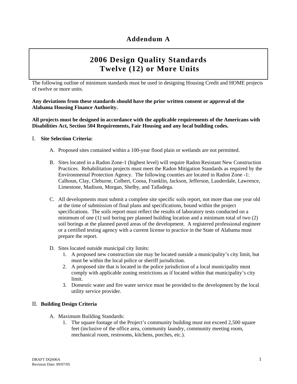# **2006 Design Quality Standards Twelve (12) or More Units**

The following outline of minimum standards must be used in designing Housing Credit and HOME projects of twelve or more units.

**Any deviations from these standards should have the prior written consent or approval of the Alabama Housing Finance Authority.** 

**All projects must be designed in accordance with the applicable requirements of the Americans with Disabilities Act, Section 504 Requirements, Fair Housing and any local building codes.** 

#### I. **Site Selection Criteria:**

- A. Proposed sites contained within a 100-year flood plain or wetlands are not permitted.
- B. Sites located in a Radon Zone-1 (highest level) will require Radon Resistant New Construction Practices. Rehabilitation projects must meet the Radon Mitigation Standards as required by the Environmental Protection Agency. The following counties are located in Radon Zone -1: Calhoun, Clay, Cleburne, Colbert, Coosa, Franklin, Jackson, Jefferson, Lauderdale, Lawrence, Limestone, Madison, Morgan, Shelby, and Talladega.
- C. All developments must submit a complete site specific soils report, not more than one year old at the time of submission of final plans and specifications, bound within the project specifications. The soils report must reflect the results of laboratory tests conducted on a minimum of one (1) soil boring per planned building location and a minimum total of two (2) soil borings at the planned paved areas of the development. A registered professional engineer or a certified testing agency with a current license to practice in the State of Alabama must prepare the report.
- D. Sites located outside municipal city limits:
	- 1. A proposed new construction site may be located outside a municipality's city limit, but must be within the local police or sheriff jurisdiction.
	- 2. A proposed site that is located in the police jurisdiction of a local municipality must comply with applicable zoning restrictions as if located within that municipality's city limit.
	- 3. Domestic water and fire water service must be provided to the development by the local utility service provider.

#### II. **Building Design Criteria**

- A. Maximum Building Standards:
	- 1. The square footage of the Project's community building must not exceed 2,500 square feet (inclusive of the office area, community laundry, community meeting room, mechanical room, restrooms, kitchens, porches, etc.).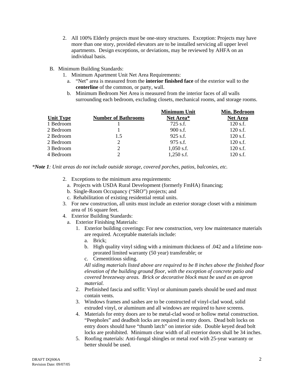- 2. All 100% Elderly projects must be one-story structures. Exception: Projects may have more than one story, provided elevators are to be installed servicing all upper level apartments. Design exceptions, or deviations, may be reviewed by AHFA on an individual basis.
- B. Minimum Building Standards:
	- 1. Minimum Apartment Unit Net Area Requirements:
		- a. "Net" area is measured from the **interior finished face** of the exterior wall to the **centerline** of the common, or party, wall.
		- b. Minimum Bedroom Net Area is measured from the interior faces of all walls surrounding each bedroom, excluding closets, mechanical rooms, and storage rooms.

|                  |                            | <b>Minimum Unit</b> | Min. Bedroom    |
|------------------|----------------------------|---------------------|-----------------|
| <b>Unit Type</b> | <b>Number of Bathrooms</b> | Net Area*           | <b>Net Area</b> |
| 1 Bedroom        |                            | 725 s.f.            | $120$ s.f.      |
| 2 Bedroom        |                            | $900$ s.f.          | $120$ s.f.      |
| 2 Bedroom        | 1.5                        | $925$ s.f.          | $120$ s.f.      |
| 2 Bedroom        | 2                          | 975 s.f.            | $120$ s.f.      |
| 3 Bedroom        | 2                          | $1,050$ s.f.        | $120$ s.f.      |
| 4 Bedroom        | $\mathcal{D}$              | $1,250$ s.f.        | $120$ s.f.      |

*\*Note 1: Unit areas do not include outside storage, covered porches, patios, balconies, etc.* 

- 2. Exceptions to the minimum area requirements:
	- a. Projects with USDA Rural Development (formerly FmHA) financing;
	- b. Single-Room Occupancy ("SRO") projects; and
	- c. Rehabilitation of existing residential rental units.
- 3. For new construction, all units must include an exterior storage closet with a minimum area of 16 square feet.
- 4. Exterior Building Standards:
	- a. Exterior Finishing Materials:
		- 1. Exterior building coverings: For new construction, very low maintenance materials are required. Acceptable materials include:
			- a. Brick;
			- b. High quality vinyl siding with a minimum thickness of .042 and a lifetime nonprorated limited warranty (50 year) transferable; or
			- c. Cementitious siding.

*All siding materials listed above are required to be 8 inches above the finished floor elevation of the building ground floor, with the exception of concrete patio and covered breezeway areas. Brick or decorative block must be used as an apron material.* 

- 2. Prefinished fascia and soffit: Vinyl or aluminum panels should be used and must contain vents.
- 3. Windows frames and sashes are to be constructed of vinyl-clad wood, solid extruded vinyl, or aluminum and all windows are required to have screens.
- 4. Materials for entry doors are to be metal-clad wood or hollow metal construction. "Peepholes" and deadbolt locks are required in entry doors. Dead bolt locks on entry doors should have "thumb latch" on interior side. Double keyed dead bolt locks are prohibited. Minimum clear width of all exterior doors shall be 34 inches.
- 5. Roofing materials: Anti-fungal shingles or metal roof with 25-year warranty or better should be used.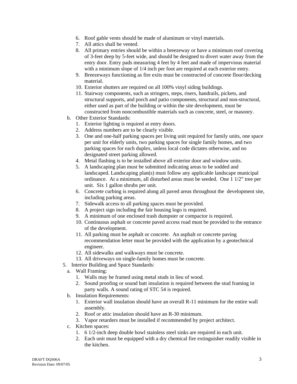- 6. Roof gable vents should be made of aluminum or vinyl materials.
- 7. All attics shall be vented.
- 8. All primary entries should be within a breezeway or have a minimum roof covering of 3-feet deep by 5-feet wide, and should be designed to divert water away from the entry door. Entry pads measuring 4 feet by 4 feet and made of impervious material with a minimum slope of 1/4 inch per foot are required at each exterior entry.
- 9. Breezeways functioning as fire exits must be constructed of concrete floor/decking material.
- 10. Exterior shutters are required on all 100% vinyl siding buildings.
- 11. Stairway components, such as stringers, steps, risers, handrails, pickets, and structural supports, and porch and patio components, structural and non-structural, either used as part of the building or within the site development, must be constructed from noncombustible materials such as concrete, steel, or masonry.
- b. Other Exterior Standards:
	- 1. Exterior lighting is required at entry doors.
	- 2. Address numbers are to be clearly visible.
	- 3. One and one-half parking spaces per living unit required for family units, one space per unit for elderly units, two parking spaces for single family homes, and two parking spaces for each duplex, unless local code dictates otherwise, and no designated street parking allowed.
	- 4. Metal flashing is to be installed above all exterior door and window units.
	- 5. A landscaping plan must be submitted indicating areas to be sodded and landscaped. Landscaping plan(s) must follow any applicable landscape municipal ordinance. At a minimum, all disturbed areas must be seeded. One 1 1/2" tree per unit. Six 1 gallon shrubs per unit.
	- 6. Concrete curbing is required along all paved areas throughout the development site, including parking areas.
	- 7. Sidewalk access to all parking spaces must be provided.
	- 8. A project sign including the fair housing logo is required.
	- 9. A minimum of one enclosed trash dumpster or compactor is required.
	- 10. Continuous asphalt or concrete paved access road must be provided to the entrance of the development.
	- 11. All parking must be asphalt or concrete. An asphalt or concrete paving recommendation letter must be provided with the application by a geotechnical engineer.
	- 12. All sidewalks and walkways must be concrete.
	- 13. All driveways on single-family homes must be concrete.
- 5. Interior Building and Space Standards:
	- a. Wall Framing:
		- 1. Walls may be framed using metal studs in lieu of wood.
		- 2. Sound proofing or sound batt insulation is required between the stud framing in party walls. A sound rating of STC 54 is required.
	- b. Insulation Requirements:
		- 1. Exterior wall insulation should have an overall R-11 minimum for the entire wall assembly.
		- 2. Roof or attic insulation should have an R-30 minimum.
		- 3. Vapor retarders must be installed if recommended by project architect.
	- c. Kitchen spaces:
		- 1. 6 1/2-inch deep double bowl stainless steel sinks are required in each unit.
		- 2. Each unit must be equipped with a dry chemical fire extinguisher readily visible in the kitchen.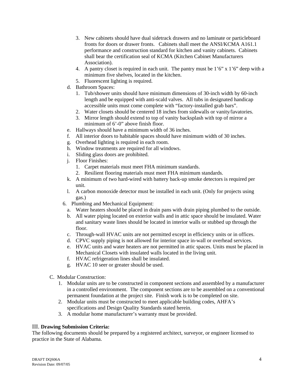- 3. New cabinets should have dual sidetrack drawers and no laminate or particleboard fronts for doors or drawer fronts. Cabinets shall meet the ANSI/KCMA A161.1 performance and construction standard for kitchen and vanity cabinets. Cabinets shall bear the certification seal of KCMA (Kitchen Cabinet Manufacturers Association).
- 4. A pantry closet is required in each unit. The pantry must be  $1'6'' \times 1'6''$  deep with a minimum five shelves, located in the kitchen.
- 5. Fluorescent lighting is required.
- d. Bathroom Spaces:
	- 1. Tub/shower units should have minimum dimensions of 30-inch width by 60-inch length and be equipped with anti-scald valves. All tubs in designated handicap accessible units must come complete with "factory-installed grab bars".
	- 2. Water closets should be centered 18 inches from sidewalls or vanity/lavatories.
	- 3. Mirror length should extend to top of vanity backsplash with top of mirror a minimum of  $6'$ -0" above finish floor.
- e. Hallways should have a minimum width of 36 inches.
- f. All interior doors to habitable spaces should have minimum width of 30 inches.
- g. Overhead lighting is required in each room.
- h. Window treatments are required for all windows.
- i. Sliding glass doors are prohibited.
- j. Floor Finishes:
	- 1. Carpet materials must meet FHA minimum standards.
	- 2. Resilient flooring materials must meet FHA minimum standards.
- k. A minimum of two hard-wired with battery back-up smoke detectors is required per unit.
- l. A carbon monoxide detector must be installed in each unit. (Only for projects using gas.)
- 6. Plumbing and Mechanical Equipment:
	- a. Water heaters should be placed in drain pans with drain piping plumbed to the outside.
	- b. All water piping located on exterior walls and in attic space should be insulated. Water and sanitary waste lines should be located in interior walls or stubbed up through the floor.
	- c. Through-wall HVAC units are not permitted except in efficiency units or in offices.
	- d. CPVC supply piping is not allowed for interior space in-wall or overhead services.
	- e. HVAC units and water heaters are not permitted in attic spaces. Units must be placed in Mechanical Closets with insulated walls located in the living unit.
	- f. HVAC refrigeration lines shall be insulated.
	- g. HVAC 10 seer or greater should be used.
- C. Modular Construction:
	- 1. Modular units are to be constructed in component sections and assembled by a manufacturer in a controlled environment. The component sections are to be assembled on a conventional permanent foundation at the project site. Finish work is to be completed on site.
	- 2. Modular units must be constructed to meet applicable building codes, AHFA's specifications and Design Quality Standards stated herein.
	- 3. A modular home manufacturer's warranty must be provided.

# III. **Drawing Submission Criteria:**

The following documents should be prepared by a registered architect, surveyor, or engineer licensed to practice in the State of Alabama.